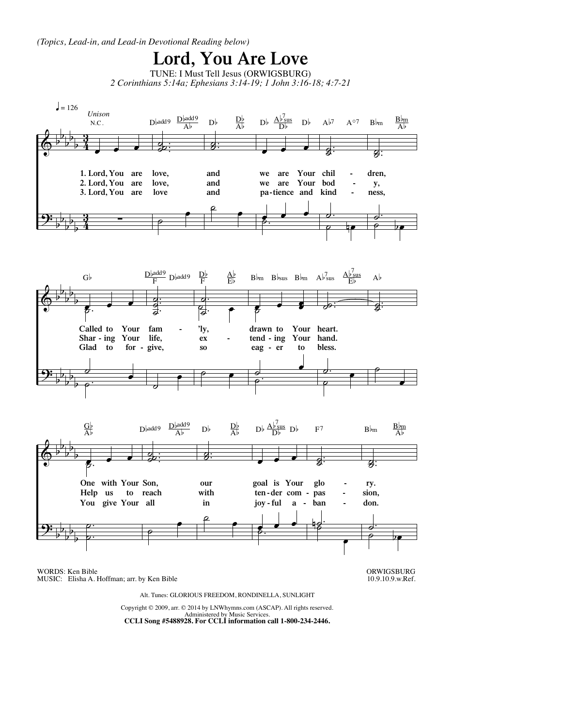*(Topics, Lead-in, and Lead-in Devotional Reading below)*



WORDS: Ken Bible MUSIC: Elisha A. Hoffman; arr. by Ken Bible ORWIGSBURG 10.9.10.9.w.Ref.

Alt. Tunes: GLORIOUS FREEDOM, RONDINELLA, SUNLIGHT

Copyright © 2009, arr. © 2014 by LNWhymns.com (ASCAP). All rights reserved. Administered by Music Services. **CCLI Song #5488928. For CCLI information call 1-800-234-2446.**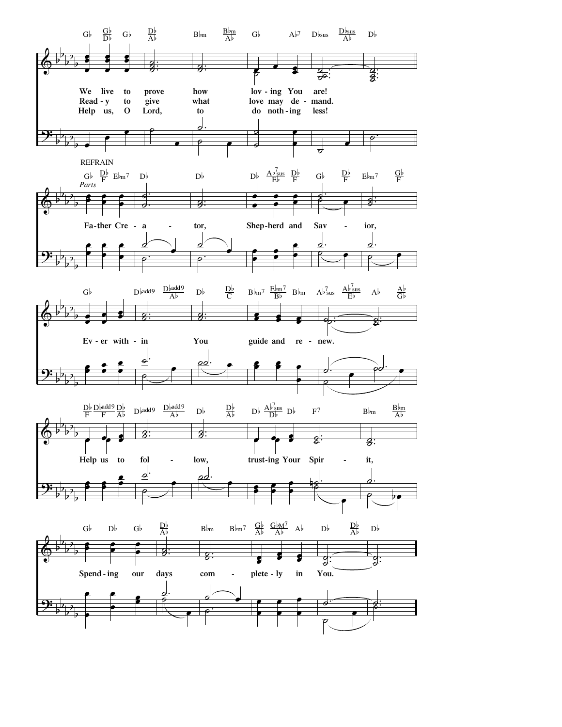